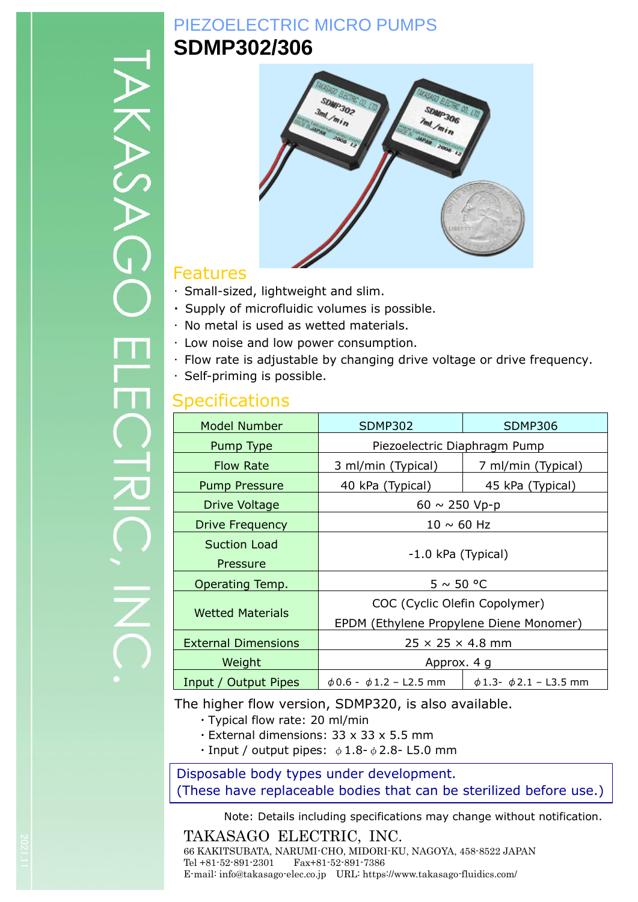# PIEZOELECTRIC MICRO PUMPS **SDMP302/306**



### Features

- ・ Small-sized, lightweight and slim.
- ・ Supply of microfluidic volumes is possible.
- ・ No metal is used as wetted materials.
- ・ Low noise and low power consumption.
- ・ Flow rate is adjustable by changing drive voltage or drive frequency.
- ・ Self-priming is possible.

### **Specifications**

| <b>Model Number</b>        | <b>SDMP302</b>                          | <b>SDMP306</b>                   |  |
|----------------------------|-----------------------------------------|----------------------------------|--|
| Pump Type                  | Piezoelectric Diaphragm Pump            |                                  |  |
| <b>Flow Rate</b>           | 3 ml/min (Typical)                      | 7 ml/min (Typical)               |  |
| <b>Pump Pressure</b>       | 40 kPa (Typical)                        | 45 kPa (Typical)                 |  |
| Drive Voltage              | $60 \sim 250 \text{ Vp-p}$              |                                  |  |
| Drive Frequency            | $10 \sim 60$ Hz                         |                                  |  |
| <b>Suction Load</b>        | -1.0 kPa (Typical)                      |                                  |  |
| Pressure                   |                                         |                                  |  |
| Operating Temp.            | $5 \sim 50$ °C                          |                                  |  |
|                            | COC (Cyclic Olefin Copolymer)           |                                  |  |
| <b>Wetted Materials</b>    | EPDM (Ethylene Propylene Diene Monomer) |                                  |  |
| <b>External Dimensions</b> | $25 \times 25 \times 4.8$ mm            |                                  |  |
| Weight                     | Approx. 4 g                             |                                  |  |
| Input / Output Pipes       | $\phi$ 0.6 - $\phi$ 1.2 - L2.5 mm       | $\phi$ 1.3- $\phi$ 2.1 – L3.5 mm |  |

The higher flow version, SDMP320, is also available.

- ・Typical flow rate: 20 ml/min
- ・External dimensions: 33 x 33 x 5.5 mm
- Input / output pipes:  $\phi$  1.8- $\phi$  2.8- L5.0 mm

#### Disposable body types under development. (These have replaceable bodies that can be sterilized before use.)

Note: Details including specifications may change without notification.

TAKASAGO ELECTRIC, INC. 66 KAKITSUBATA, NARUMI-CHO, MIDORI-KU, NAGOYA, 458-8522 JAPAN Tel +81-52-891-2301 Fax+81-52-891-7386 E-mail: info@takasago-elec.co.jp URL: https://www.takasago-fluidics.com/